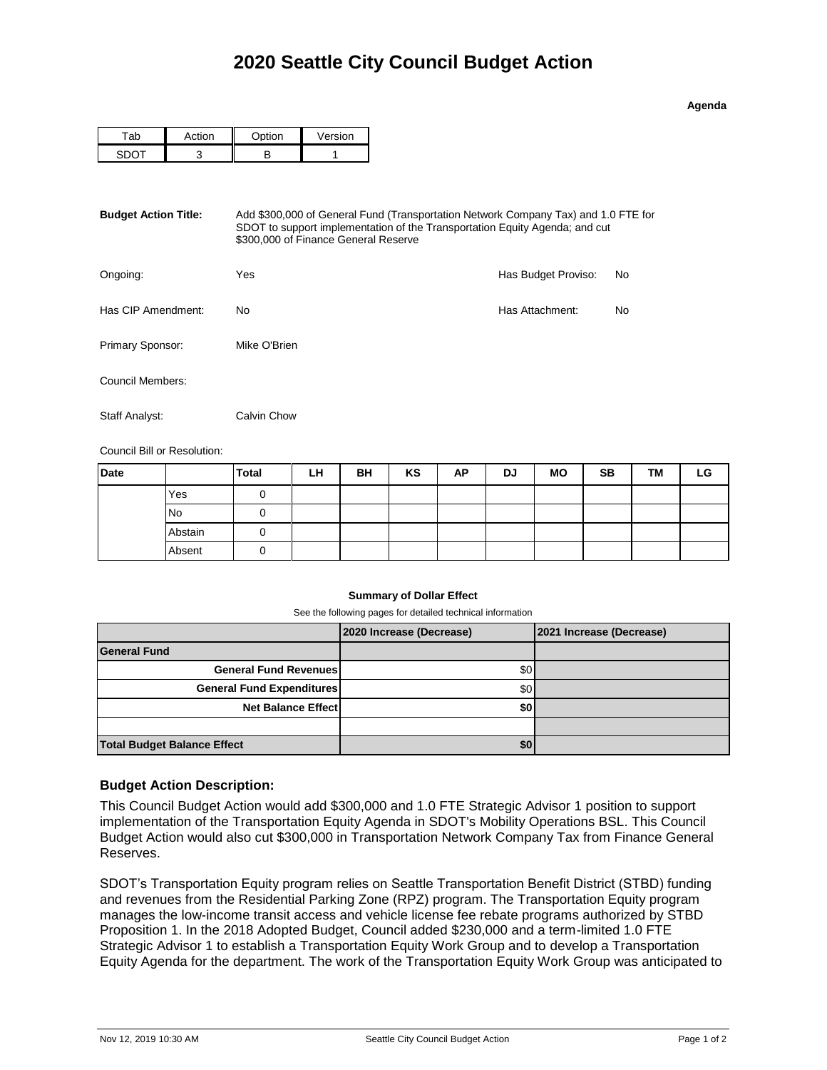**Agenda**

| ั ≁i∩n | $\sim$ tion | Version |  |  |
|--------|-------------|---------|--|--|
|        |             |         |  |  |

| <b>Budget Action Title:</b> | Add \$300,000 of General Fund (Transportation Network Company Tax) and 1.0 FTE for<br>SDOT to support implementation of the Transportation Equity Agenda; and cut<br>\$300,000 of Finance General Reserve |                     |    |  |  |  |
|-----------------------------|-----------------------------------------------------------------------------------------------------------------------------------------------------------------------------------------------------------|---------------------|----|--|--|--|
| Ongoing:                    | Yes                                                                                                                                                                                                       | Has Budget Proviso: | No |  |  |  |
| Has CIP Amendment:          | No.                                                                                                                                                                                                       | Has Attachment:     | No |  |  |  |
| Primary Sponsor:            | Mike O'Brien                                                                                                                                                                                              |                     |    |  |  |  |
| Council Members:            |                                                                                                                                                                                                           |                     |    |  |  |  |
| Staff Analyst:              | Calvin Chow                                                                                                                                                                                               |                     |    |  |  |  |

Council Bill or Resolution:

| <b>Date</b> |           | <b>Total</b> | LH | BH | KS | AP | DJ | <b>MO</b> | <b>SB</b> | TM | LG |
|-------------|-----------|--------------|----|----|----|----|----|-----------|-----------|----|----|
|             | Yes       |              |    |    |    |    |    |           |           |    |    |
|             | <b>No</b> |              |    |    |    |    |    |           |           |    |    |
|             | Abstain   |              |    |    |    |    |    |           |           |    |    |
|             | Absent    |              |    |    |    |    |    |           |           |    |    |

## **Summary of Dollar Effect**

See the following pages for detailed technical information

|                                    | 2020 Increase (Decrease) | 2021 Increase (Decrease) |
|------------------------------------|--------------------------|--------------------------|
| <b>General Fund</b>                |                          |                          |
| <b>General Fund Revenues</b>       | \$0                      |                          |
| <b>General Fund Expenditures</b>   | \$0                      |                          |
| <b>Net Balance Effect</b>          | \$0                      |                          |
|                                    |                          |                          |
| <b>Total Budget Balance Effect</b> | \$0                      |                          |

## **Budget Action Description:**

This Council Budget Action would add \$300,000 and 1.0 FTE Strategic Advisor 1 position to support implementation of the Transportation Equity Agenda in SDOT's Mobility Operations BSL. This Council Budget Action would also cut \$300,000 in Transportation Network Company Tax from Finance General Reserves.

SDOT's Transportation Equity program relies on Seattle Transportation Benefit District (STBD) funding and revenues from the Residential Parking Zone (RPZ) program. The Transportation Equity program manages the low-income transit access and vehicle license fee rebate programs authorized by STBD Proposition 1. In the 2018 Adopted Budget, Council added \$230,000 and a term-limited 1.0 FTE Strategic Advisor 1 to establish a Transportation Equity Work Group and to develop a Transportation Equity Agenda for the department. The work of the Transportation Equity Work Group was anticipated to